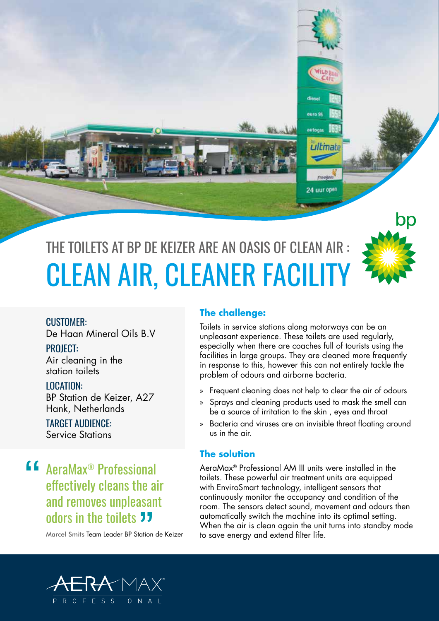



#### CUSTOMER:

De Haan Mineral Oils B.V

PROJECT:

Air cleaning in the station toilets

LOCATION:

BP Station de Keizer, A27 Hank, Netherlands

### TARGET AUDIENCE:

Service Stations

**4 AeraMax<sup>®</sup> Professional<br>effectively cleans the ai** effectively cleans the air and removes unpleasant OdOrS in the toilets JJ<br>Marcel Smits Team Leader BP Station

Marcel Smits Team Leader BP Station de Keizer

#### **The challenge:**

Toilets in service stations along motorways can be an unpleasant experience. These toilets are used regularly, especially when there are coaches full of tourists using the facilities in large groups. They are cleaned more frequently in response to this, however this can not entirely tackle the problem of odours and airborne bacteria.

tmah

**Croobag** 24 uur open

- » Frequent cleaning does not help to clear the air of odours
- » Sprays and cleaning products used to mask the smell can be a source of irritation to the skin , eyes and throat
- » Bacteria and viruses are an invisible threat floating around us in the air.

## **The solution**

AeraMax® Professional AM III units were installed in the toilets. These powerful air treatment units are equipped with EnviroSmart technology, intelligent sensors that continuously monitor the occupancy and condition of the room. The sensors detect sound, movement and odours then automatically switch the machine into its optimal setting. When the air is clean again the unit turns into standby mode to save energy and extend filter life.